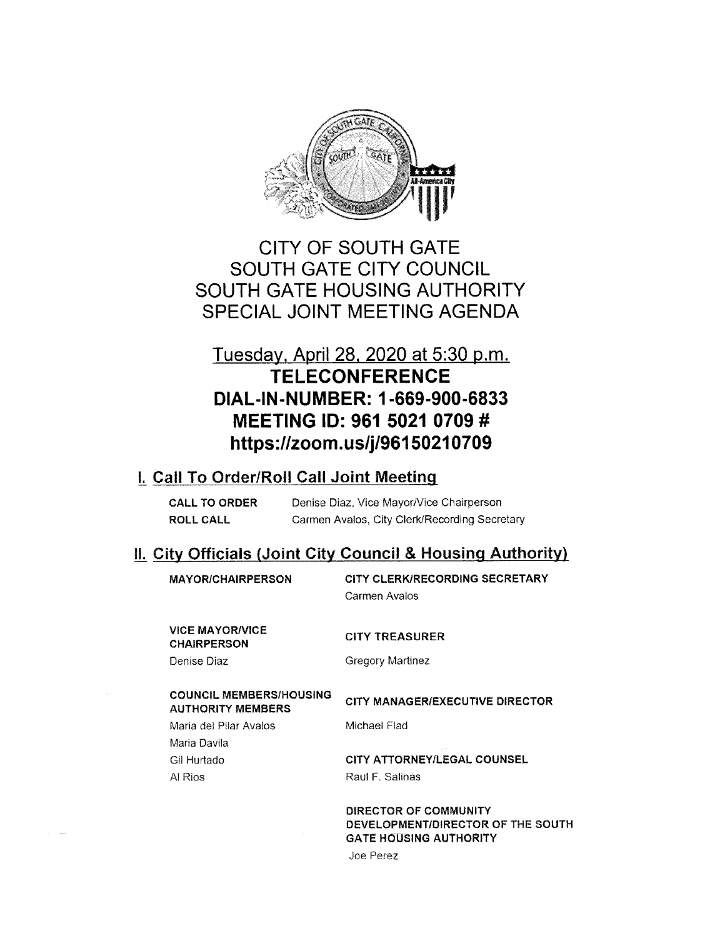

# CITY OF SOUTH GATE SOUTH GATE CITY COUNCIL SOUTH GATE HOUSING AUTHORITY SPECIAL JOINT MEETING AGENDA

# Tuesday, April 28, 2020 at 5:30 p.m. **TELECONFERENCE** DIAL-IN-NUMBER: <sup>1</sup> -669-900-6833 MEETING ID: 961 5021 0709 # https://zoom.us/j/96150210709

## j. Call To Order/Roll Call Joint Meeting

| <b>CALL TO ORDER</b> | Denise Diaz, Vice Mayor/Vice Chairperson      |
|----------------------|-----------------------------------------------|
| ROLL CALL            | Carmen Avalos, City Clerk/Recording Secretary |

# IL City Officials (Joint City Council & Housing Authority)

| <b>MAYOR/CHAIRPERSON</b>                                   | CITY CLERK/RECORDING SECRETARY<br>Carmen Avalos            |
|------------------------------------------------------------|------------------------------------------------------------|
| <b>VICE MAYOR/VICE</b><br><b>CHAIRPERSON</b>               | <b>CITY TREASURER</b>                                      |
| Denise Diaz                                                | <b>Gregory Martinez</b>                                    |
|                                                            |                                                            |
| <b>COUNCIL MEMBERS/HOUSING</b><br><b>AUTHORITY MEMBERS</b> | <b>CITY MANAGER/EXECUTIVE DIRECTOR</b>                     |
| Maria del Pilar Avalos                                     | Michael Flad                                               |
| Maria Davila                                               |                                                            |
| Gil Hurtado                                                | CITY ATTORNEY/LEGAL COUNSEL                                |
| Al Rios                                                    | Raul F. Salinas                                            |
|                                                            |                                                            |
|                                                            | DIRECTOR OF COMMUNITY<br>DEVELOPMENT/DIRECTOR OF THE SOUTH |

Joe Perez

GATE HOUSING AUTHORITY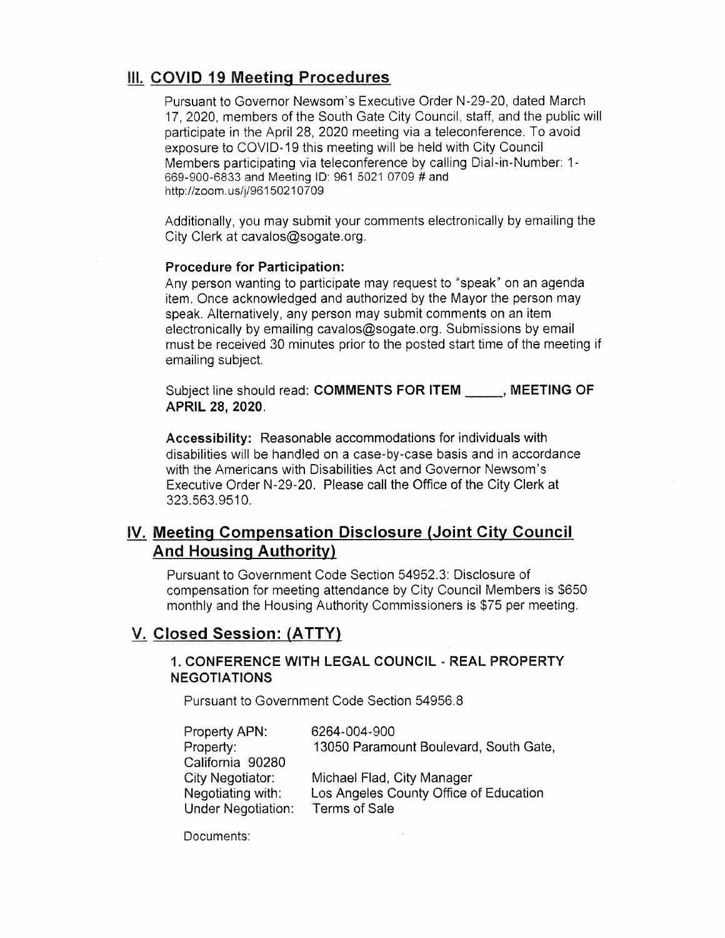## III. COVID 19 Meeting Procedures

Pursuant to Governor Newsom's Executive Order N-29-20, dated March 17, 2020, members of the South Gate City Council, staff, and the public will participate in the April 28, 2020 meeting via a teleconference. To avoid exposure to COVID-19 this meeting will be held with City Council Members participating via teleconference by calling Dial-in-Number: <sup>1</sup> 669-900-6833 and Meeting ID: 961 5021 0709 # and http://zoom.us/j/96150210709

Additionally, you may submit your comments electronically by emailing the City Clerk at cavalos@sogate.org.

#### Procedure for Participation:

Any person wanting to participate may request to "speak" on an agenda item. Once acknowledged and authorized by the Mayor the person may speak. Alternatively, any person may submit comments on an item electronically by emailing cavalos@sogate.org. Submissions by email must be received 30 minutes prior to the posted start time of the meeting if emailing subject.

Subject line should read: COMMENTS FOR ITEM \_\_\_\_\_\_, MEETING OF APRIL 28, 2020.

Accessibility: Reasonable accommodations for individuals with disabilities will be handled on a case-by-case basis and in accordance with the Americans with Disabilities Act and Governor Newsom's Executive Order N-29-20. Please call the Office of the City Clerk at 323.563.9510.

## IV. Meeting Compensation Disclosure (Joint City Council And Housing Authority)

Pursuant to Government Code Section 54952.3: Disclosure of compensation for meeting attendance by City Council Members is \$650 monthly and the Housing Authority Commissioners is \$75 per meeting.

## V. Closed Session: (ATTY)

#### 1. CONFERENCE WITH LEGAL COUNCIL - REAL PROPERTY NEGOTIATIONS

Pursuant to Government Code Section 54956.8

| Property APN:             | 6264-004-900                           |
|---------------------------|----------------------------------------|
| Property:                 | 13050 Paramount Boulevard, South Gate, |
| California 90280          |                                        |
| City Negotiator:          | Michael Flad, City Manager             |
| Negotiating with:         | Los Angeles County Office of Education |
| <b>Under Negotiation:</b> | <b>Terms of Sale</b>                   |

Documents: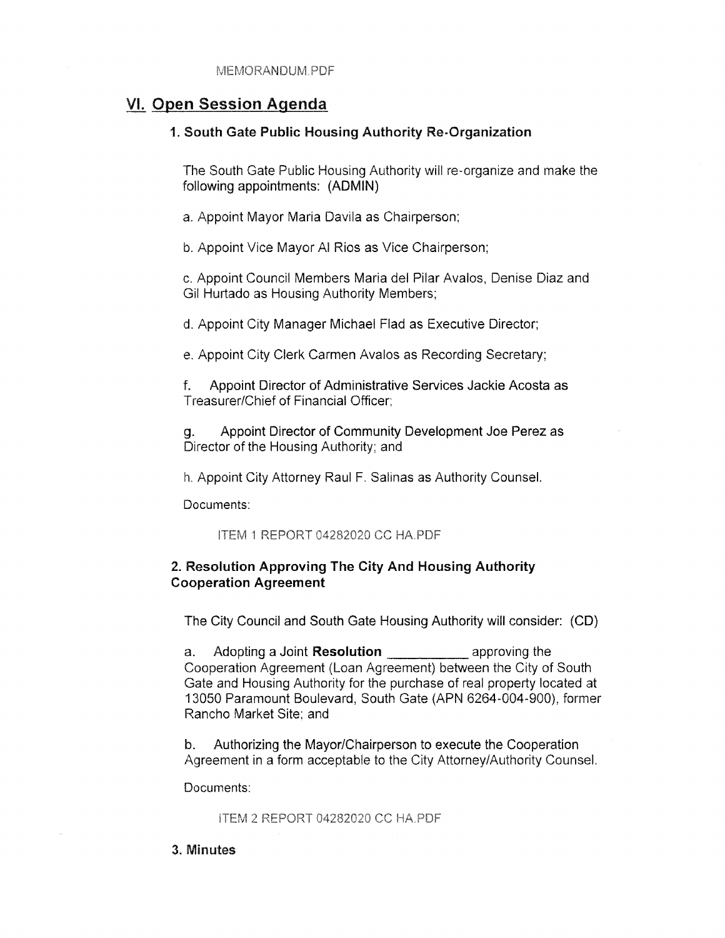## VI. Open Session Agenda

#### 1. South Gate Public Housing Authority Re-Organization

The South Gate Public Housing Authority will re-organize and make the following appointments: (ADMIN)

a. Appoint Mayor Maria Davila as Chairperson;

b. Appoint Vice Mayor Al Rios as Vice Chairperson;

c. Appoint Council Members Maria del Pilar Avalos, Denise Diaz and Gil Hurtado as Housing Authority Members;

d. Appoint City Manager Michael Flad as Executive Director;

e. Appoint City Clerk Carmen Avalos as Recording Secretary;

f. Appoint Director of Administrative Services Jackie Acosta as Treasurer/Chief of Financial Officer;

g. Appoint Director of Community Development Joe Perez as Director of the Housing Authority; and

h. Appoint City Attorney Raul F. Salinas as Authority Counsel.

Documents:

ITEM <sup>I</sup> REPORT 04282020 CC HA PDF

#### 2. Resolution Approving The City And Housing Authority Cooperation Agreement

The City Council and South Gate Housing Authority will consider: (CD)

a. Adopting a Joint **Resolution example 20** approving the Cooperation Agreement (Loan Agreement) between the City of South Gate and Housing Authority for the purchase of real property located at 13050 Paramount Boulevard, South Gate (APN 6264-004-900), former Rancho Market Site; and

b. Authorizing the Mayor/Chairperson to execute the Cooperation Agreement in a form acceptable to the City Attorney/Authority Counsel.

Documents:

ITEM 2 REPORT 04282020 CC HAPOF

3. Minutes